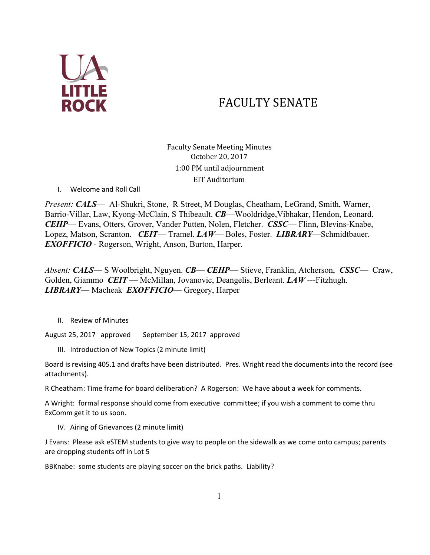

# FACULTY SENATE

Faculty Senate Meeting Minutes October 20, 2017 1:00 PM until adjournment EIT Auditorium

I. Welcome and Roll Call

*Present: CALS*— Al-Shukri, Stone, R Street, M Douglas, Cheatham, LeGrand, Smith, Warner, Barrio-Villar, Law, Kyong-McClain, S Thibeault. *CB*—Wooldridge,Vibhakar, Hendon, Leonard. *CEHP*— Evans, Otters, Grover, Vander Putten, Nolen, Fletcher. *CSSC*— Flinn, Blevins-Knabe, Lopez, Matson, Scranton. *CEIT*— Tramel. *LAW*— Boles, Foster. *LIBRARY*—Schmidtbauer. *EXOFFICIO* - Rogerson, Wright, Anson, Burton, Harper.

*Absent: CALS*— S Woolbright, Nguyen. *CB*— *CEHP*— Stieve, Franklin, Atcherson, *CSSC*— Craw, Golden, Giammo *CEIT* — McMillan, Jovanovic, Deangelis, Berleant. *LAW* ---Fitzhugh. *LIBRARY*— Macheak *EXOFFICIO*— Gregory, Harper

II. Review of Minutes

August 25, 2017 approved September 15, 2017 approved

III. Introduction of New Topics (2 minute limit)

Board is revising 405.1 and drafts have been distributed. Pres. Wright read the documents into the record (see attachments).

R Cheatham: Time frame for board deliberation? A Rogerson: We have about a week for comments.

A Wright: formal response should come from executive committee; if you wish a comment to come thru ExComm get it to us soon.

IV. Airing of Grievances (2 minute limit)

J Evans: Please ask eSTEM students to give way to people on the sidewalk as we come onto campus; parents are dropping students off in Lot 5

BBKnabe: some students are playing soccer on the brick paths. Liability?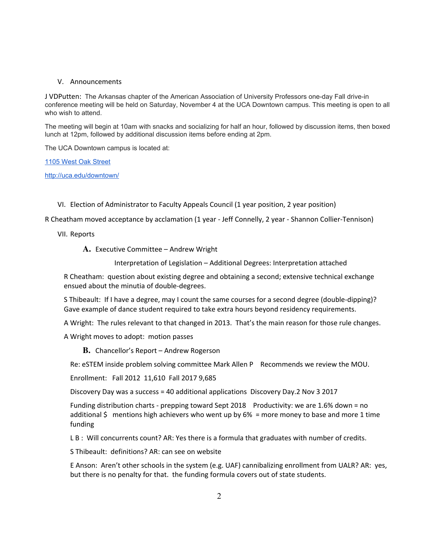## V. Announcements

J VDPutten: The Arkansas chapter of the American Association of University Professors one-day Fall drive-in conference meeting will be held on Saturday, November 4 at the UCA Downtown campus. This meeting is open to all who wish to attend.

The meeting will begin at 10am with snacks and socializing for half an hour, followed by discussion items, then boxed lunch at 12pm, followed by additional discussion items before ending at 2pm.

The UCA Downtown campus is located at:

1105 West Oak [Street](https://maps.google.com/?q=1105+West+Oak+Street&entry=gmail&source=g)

<http://uca.edu/downtown/>

VI. Election of Administrator to Faculty Appeals Council (1 year position, 2 year position)

R Cheatham moved acceptance by acclamation (1 year - Jeff Connelly, 2 year - Shannon Collier-Tennison)

VII. Reports

**A.** Executive Committee – Andrew Wright

Interpretation of Legislation – Additional Degrees: Interpretation attached

R Cheatham: question about existing degree and obtaining a second; extensive technical exchange ensued about the minutia of double-degrees.

S Thibeault: If I have a degree, may I count the same courses for a second degree (double-dipping)? Gave example of dance student required to take extra hours beyond residency requirements.

A Wright: The rules relevant to that changed in 2013. That's the main reason for those rule changes.

A Wright moves to adopt: motion passes

**B.** Chancellor's Report – Andrew Rogerson

Re: eSTEM inside problem solving committee Mark Allen P Recommends we review the MOU.

Enrollment: Fall 2012 11,610 Fall 2017 9,685

Discovery Day was a success = 40 additional applications Discovery Day.2 Nov 3 2017

Funding distribution charts - prepping toward Sept 2018 Productivity: we are 1.6% down = no additional  $\oint$  mentions high achievers who went up by 6% = more money to base and more 1 time funding

L B : Will concurrents count? AR: Yes there is a formula that graduates with number of credits.

S Thibeault: definitions? AR: can see on website

E Anson: Aren't other schools in the system (e.g. UAF) cannibalizing enrollment from UALR? AR: yes, but there is no penalty for that. the funding formula covers out of state students.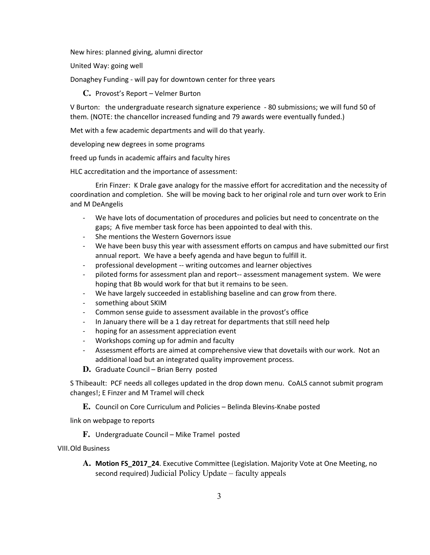New hires: planned giving, alumni director

United Way: going well

Donaghey Funding - will pay for downtown center for three years

**C.** Provost's Report – Velmer Burton

V Burton: the undergraduate research signature experience - 80 submissions; we will fund 50 of them. (NOTE: the chancellor increased funding and 79 awards were eventually funded.)

Met with a few academic departments and will do that yearly.

developing new degrees in some programs

freed up funds in academic affairs and faculty hires

HLC accreditation and the importance of assessment:

Erin Finzer: K Drale gave analogy for the massive effort for accreditation and the necessity of coordination and completion. She will be moving back to her original role and turn over work to Erin and M DeAngelis

- We have lots of documentation of procedures and policies but need to concentrate on the gaps; A five member task force has been appointed to deal with this.
- She mentions the Western Governors issue
- We have been busy this year with assessment efforts on campus and have submitted our first annual report. We have a beefy agenda and have begun to fulfill it.
- professional development -- writing outcomes and learner objectives
- piloted forms for assessment plan and report-- assessment management system. We were hoping that Bb would work for that but it remains to be seen.
- We have largely succeeded in establishing baseline and can grow from there.
- something about SKIM
- Common sense guide to assessment available in the provost's office
- In January there will be a 1 day retreat for departments that still need help
- hoping for an assessment appreciation event
- Workshops coming up for admin and faculty
- Assessment efforts are aimed at comprehensive view that dovetails with our work. Not an additional load but an integrated quality improvement process.
- **D.** Graduate Council Brian Berry posted

S Thibeault: PCF needs all colleges updated in the drop down menu. CoALS cannot submit program changes!; E Finzer and M Tramel will check

**E.** Council on Core Curriculum and Policies – Belinda Blevins-Knabe posted

link on webpage to reports

**F.** Undergraduate Council – Mike Tramel posted

VIII.Old Business

**A. Motion FS\_2017\_24**. Executive Committee (Legislation. Majority Vote at One Meeting, no second required) Judicial Policy Update – faculty appeals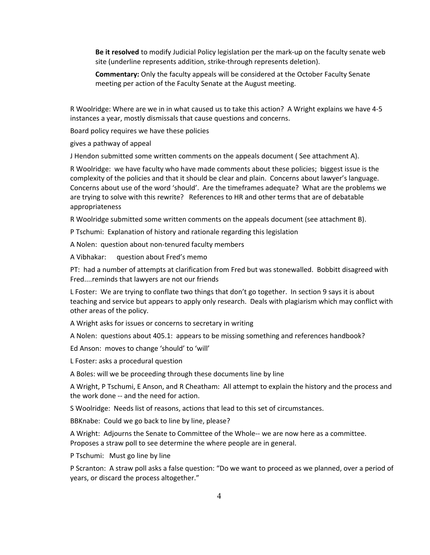**Be it resolved** to modify Judicial Policy legislation per the mark-up on the faculty senate web site (underline represents addition, strike-through represents deletion).

**Commentary:** Only the faculty appeals will be considered at the October Faculty Senate meeting per action of the Faculty Senate at the August meeting.

R Woolridge: Where are we in in what caused us to take this action? A Wright explains we have 4-5 instances a year, mostly dismissals that cause questions and concerns.

Board policy requires we have these policies

gives a pathway of appeal

J Hendon submitted some written comments on the appeals document ( See attachment A).

R Woolridge: we have faculty who have made comments about these policies; biggest issue is the complexity of the policies and that it should be clear and plain. Concerns about lawyer's language. Concerns about use of the word 'should'. Are the timeframes adequate? What are the problems we are trying to solve with this rewrite? References to HR and other terms that are of debatable appropriateness

R Woolridge submitted some written comments on the appeals document (see attachment B).

P Tschumi: Explanation of history and rationale regarding this legislation

A Nolen: question about non-tenured faculty members

A Vibhakar: question about Fred's memo

PT: had a number of attempts at clarification from Fred but was stonewalled. Bobbitt disagreed with Fred....reminds that lawyers are not our friends

L Foster: We are trying to conflate two things that don't go together. In section 9 says it is about teaching and service but appears to apply only research. Deals with plagiarism which may conflict with other areas of the policy.

A Wright asks for issues or concerns to secretary in writing

A Nolen: questions about 405.1: appears to be missing something and references handbook?

Ed Anson: moves to change 'should' to 'will'

L Foster: asks a procedural question

A Boles: will we be proceeding through these documents line by line

A Wright, P Tschumi, E Anson, and R Cheatham: All attempt to explain the history and the process and the work done -- and the need for action.

S Woolridge: Needs list of reasons, actions that lead to this set of circumstances.

BBKnabe: Could we go back to line by line, please?

A Wright: Adjourns the Senate to Committee of the Whole-- we are now here as a committee. Proposes a straw poll to see determine the where people are in general.

P Tschumi: Must go line by line

P Scranton: A straw poll asks a false question: "Do we want to proceed as we planned, over a period of years, or discard the process altogether."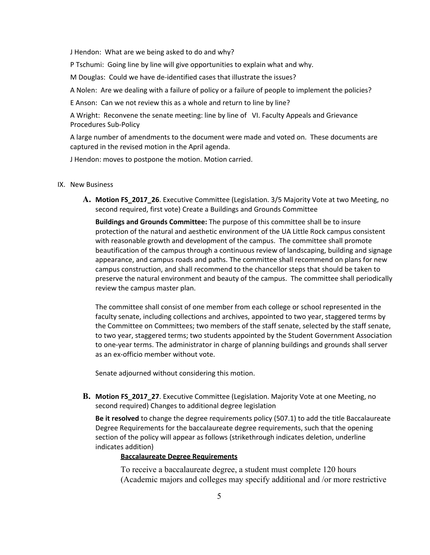J Hendon: What are we being asked to do and why?

P Tschumi: Going line by line will give opportunities to explain what and why.

M Douglas: Could we have de-identified cases that illustrate the issues?

A Nolen: Are we dealing with a failure of policy or a failure of people to implement the policies?

E Anson: Can we not review this as a whole and return to line by line?

A Wright: Reconvene the senate meeting: line by line of VI. Faculty Appeals and Grievance Procedures Sub-Policy

A large number of amendments to the document were made and voted on. These documents are captured in the revised motion in the April agenda.

J Hendon: moves to postpone the motion. Motion carried.

### IX. New Business

**A. Motion FS\_2017\_26**. Executive Committee (Legislation. 3/5 Majority Vote at two Meeting, no second required, first vote) Create a Buildings and Grounds Committee

**Buildings and Grounds Committee:** The purpose of this committee shall be to insure protection of the natural and aesthetic environment of the UA Little Rock campus consistent with reasonable growth and development of the campus. The committee shall promote beautification of the campus through a continuous review of landscaping, building and signage appearance, and campus roads and paths. The committee shall recommend on plans for new campus construction, and shall recommend to the chancellor steps that should be taken to preserve the natural environment and beauty of the campus. The committee shall periodically review the campus master plan.

The committee shall consist of one member from each college or school represented in the faculty senate, including collections and archives, appointed to two year, staggered terms by the Committee on Committees; two members of the staff senate, selected by the staff senate, to two year, staggered terms; two students appointed by the Student Government Association to one-year terms. The administrator in charge of planning buildings and grounds shall server as an ex-officio member without vote.

Senate adjourned without considering this motion.

**B. Motion FS\_2017\_27**. Executive Committee (Legislation. Majority Vote at one Meeting, no second required) Changes to additional degree legislation

**Be it resolved** to change the degree requirements policy (507.1) to add the title Baccalaureate Degree Requirements for the baccalaureate degree requirements, such that the opening section of the policy will appear as follows (strikethrough indicates deletion, underline indicates addition)

## **Baccalaureate Degree Requirements**

To receive a baccalaureate degree, a student must complete 120 hours (Academic majors and colleges may specify additional and /or more restrictive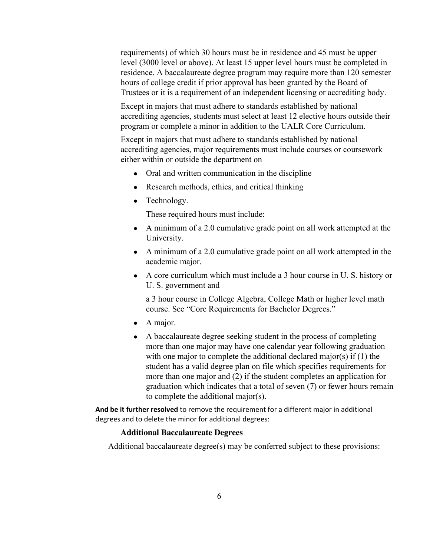requirements) of which 30 hours must be in residence and 45 must be upper level (3000 level or above). At least 15 upper level hours must be completed in residence. A baccalaureate degree program may require more than 120 semester hours of college credit if prior approval has been granted by the Board of Trustees or it is a requirement of an independent licensing or accrediting body.

Except in majors that must adhere to standards established by national accrediting agencies, students must select at least 12 elective hours outside their program or complete a minor in addition to the UALR Core Curriculum.

Except in majors that must adhere to standards established by national accrediting agencies, major requirements must include courses or coursework either within or outside the department on

- Oral and written communication in the discipline
- Research methods, ethics, and critical thinking
- Technology.

These required hours must include:

- A minimum of a 2.0 cumulative grade point on all work attempted at the University.
- A minimum of a 2.0 cumulative grade point on all work attempted in the academic major.
- A core curriculum which must include a 3 hour course in U. S. history or U. S. government and

a 3 hour course in College Algebra, College Math or higher level math course. See "Core Requirements for Bachelor Degrees."

- A major.
- A baccalaureate degree seeking student in the process of completing more than one major may have one calendar year following graduation with one major to complete the additional declared major(s) if (1) the student has a valid degree plan on file which specifies requirements for more than one major and (2) if the student completes an application for graduation which indicates that a total of seven (7) or fewer hours remain to complete the additional major(s).

**And be it further resolved** to remove the requirement for a different major in additional degrees and to delete the minor for additional degrees:

## **Additional Baccalaureate Degrees**

Additional baccalaureate degree(s) may be conferred subject to these provisions: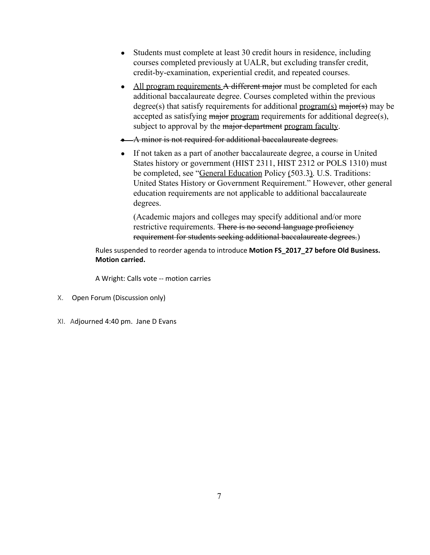- Students must complete at least 30 credit hours in residence, including courses completed previously at UALR, but excluding transfer credit, credit-by-examination, experiential credit, and repeated courses.
- All program requirements A different major must be completed for each additional baccalaureate degree. Courses completed within the previous degree(s) that satisfy requirements for additional  $\frac{program(s)}{main(s)}$  may be accepted as satisfying major program requirements for additional degree(s), subject to approval by the major department program faculty.
- A minor is not required for additional baccalaureate degrees.
- If not taken as a part of another baccalaureate degree, a course in United States history or government (HIST 2311, HIST 2312 or POLS 1310) must be completed, see "General Education Policy (503.3). U.S. Traditions: United States History or Government Requirement." However, other general education requirements are not applicable to additional baccalaureate degrees.

(Academic majors and colleges may specify additional and/or more restrictive requirements. There is no second language proficiency requirement for students seeking additional baccalaureate degrees.)

Rules suspended to reorder agenda to introduce **Motion FS\_2017\_27 before Old Business. Motion carried.**

A Wright: Calls vote -- motion carries

- X. Open Forum (Discussion only)
- XI. Adjourned 4:40 pm. Jane D Evans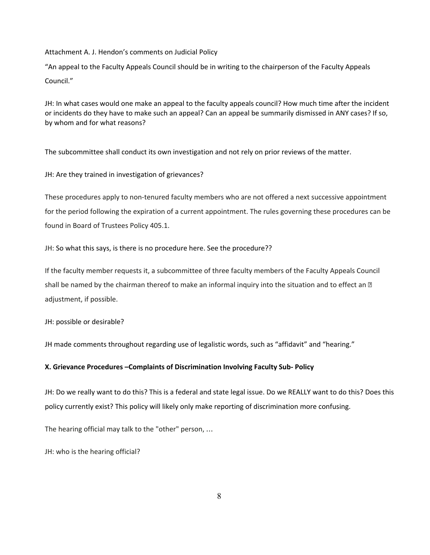Attachment A. J. Hendon's comments on Judicial Policy

"An appeal to the Faculty Appeals Council should be in writing to the chairperson of the Faculty Appeals Council."

JH: In what cases would one make an appeal to the faculty appeals council? How much time after the incident or incidents do they have to make such an appeal? Can an appeal be summarily dismissed in ANY cases? If so, by whom and for what reasons?

The subcommittee shall conduct its own investigation and not rely on prior reviews of the matter.

JH: Are they trained in investigation of grievances?

These procedures apply to non-tenured faculty members who are not offered a next successive appointment for the period following the expiration of a current appointment. The rules governing these procedures can be found in Board of Trustees Policy 405.1.

JH: So what this says, is there is no procedure here. See the procedure??

If the faculty member requests it, a subcommittee of three faculty members of the Faculty Appeals Council shall be named by the chairman thereof to make an informal inquiry into the situation and to effect an **D** adjustment, if possible.

JH: possible or desirable?

JH made comments throughout regarding use of legalistic words, such as "affidavit" and "hearing."

### **X. Grievance Procedures –Complaints of Discrimination Involving Faculty Sub- Policy**

JH: Do we really want to do this? This is a federal and state legal issue. Do we REALLY want to do this? Does this policy currently exist? This policy will likely only make reporting of discrimination more confusing.

The hearing official may talk to the "other" person, …

JH: who is the hearing official?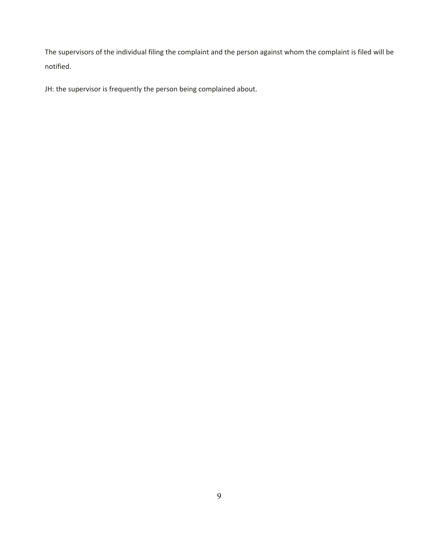The supervisors of the individual filing the complaint and the person against whom the complaint is filed will be notified.

JH: the supervisor is frequently the person being complained about.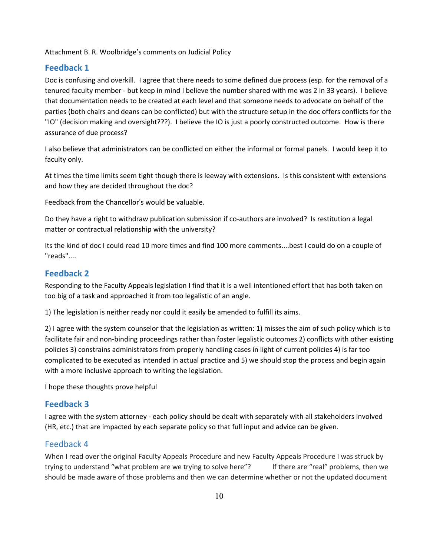Attachment B. R. Woolbridge's comments on Judicial Policy

## **Feedback 1**

Doc is confusing and overkill. I agree that there needs to some defined due process (esp. for the removal of a tenured faculty member - but keep in mind I believe the number shared with me was 2 in 33 years). I believe that documentation needs to be created at each level and that someone needs to advocate on behalf of the parties (both chairs and deans can be conflicted) but with the structure setup in the doc offers conflicts for the "IO" (decision making and oversight???). I believe the IO is just a poorly constructed outcome. How is there assurance of due process?

I also believe that administrators can be conflicted on either the informal or formal panels. I would keep it to faculty only.

At times the time limits seem tight though there is leeway with extensions. Is this consistent with extensions and how they are decided throughout the doc?

Feedback from the Chancellor's would be valuable.

Do they have a right to withdraw publication submission if co-authors are involved? Is restitution a legal matter or contractual relationship with the university?

Its the kind of doc I could read 10 more times and find 100 more comments....best I could do on a couple of "reads"....

# **Feedback 2**

Responding to the Faculty Appeals legislation I find that it is a well intentioned effort that has both taken on too big of a task and approached it from too legalistic of an angle.

1) The legislation is neither ready nor could it easily be amended to fulfill its aims.

2) I agree with the system counselor that the legislation as written: 1) misses the aim of such policy which is to facilitate fair and non-binding proceedings rather than foster legalistic outcomes 2) conflicts with other existing policies 3) constrains administrators from properly handling cases in light of current policies 4) is far too complicated to be executed as intended in actual practice and 5) we should stop the process and begin again with a more inclusive approach to writing the legislation.

I hope these thoughts prove helpful

# **Feedback 3**

I agree with the system attorney - each policy should be dealt with separately with all stakeholders involved (HR, etc.) that are impacted by each separate policy so that full input and advice can be given.

## Feedback 4

When I read over the original Faculty Appeals Procedure and new Faculty Appeals Procedure I was struck by trying to understand "what problem are we trying to solve here"? If there are "real" problems, then we should be made aware of those problems and then we can determine whether or not the updated document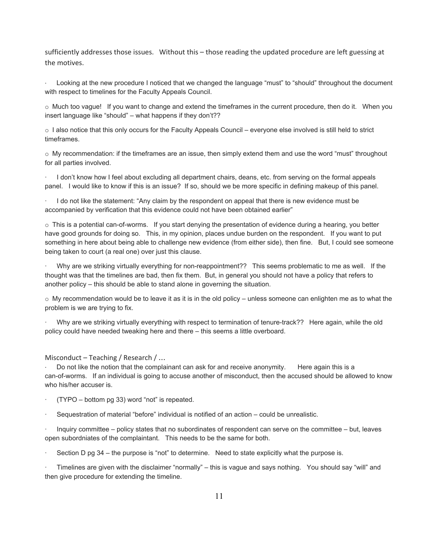sufficiently addresses those issues. Without this – those reading the updated procedure are left guessing at the motives.

Looking at the new procedure I noticed that we changed the language "must" to "should" throughout the document with respect to timelines for the Faculty Appeals Council.

 $\circ$  Much too vague! If you want to change and extend the timeframes in the current procedure, then do it. When you insert language like "should" – what happens if they don't??

o I also notice that this only occurs for the Faculty Appeals Council – everyone else involved is still held to strict timeframes.

 $\circ$  My recommendation: if the timeframes are an issue, then simply extend them and use the word "must" throughout for all parties involved.

· I don't know how I feel about excluding all department chairs, deans, etc. from serving on the formal appeals panel. I would like to know if this is an issue? If so, should we be more specific in defining makeup of this panel.

· I do not like the statement: "Any claim by the respondent on appeal that there is new evidence must be accompanied by verification that this evidence could not have been obtained earlier"

 $\circ$  This is a potential can-of-worms. If you start denying the presentation of evidence during a hearing, you better have good grounds for doing so. This, in my opinion, places undue burden on the respondent. If you want to put something in here about being able to challenge new evidence (from either side), then fine. But, I could see someone being taken to court (a real one) over just this clause.

· Why are we striking virtually everything for non-reappointment?? This seems problematic to me as well. If the thought was that the timelines are bad, then fix them. But, in general you should not have a policy that refers to another policy – this should be able to stand alone in governing the situation.

o My recommendation would be to leave it as it is in the old policy – unless someone can enlighten me as to what the problem is we are trying to fix.

· Why are we striking virtually everything with respect to termination of tenure-track?? Here again, while the old policy could have needed tweaking here and there – this seems a little overboard.

Misconduct – Teaching / Research / …

Do not like the notion that the complainant can ask for and receive anonymity. Here again this is a can-of-worms. If an individual is going to accuse another of misconduct, then the accused should be allowed to know who his/her accuser is.

 $(TYPO - bottom\ pq\ 33)$  word "not" is repeated.

· Sequestration of material "before" individual is notified of an action – could be unrealistic.

· Inquiry committee – policy states that no subordinates of respondent can serve on the committee – but, leaves open subordniates of the complaintant. This needs to be the same for both.

Section D pg 34 – the purpose is "not" to determine. Need to state explicitly what the purpose is.

· Timelines are given with the disclaimer "normally" – this is vague and says nothing. You should say "will" and then give procedure for extending the timeline.